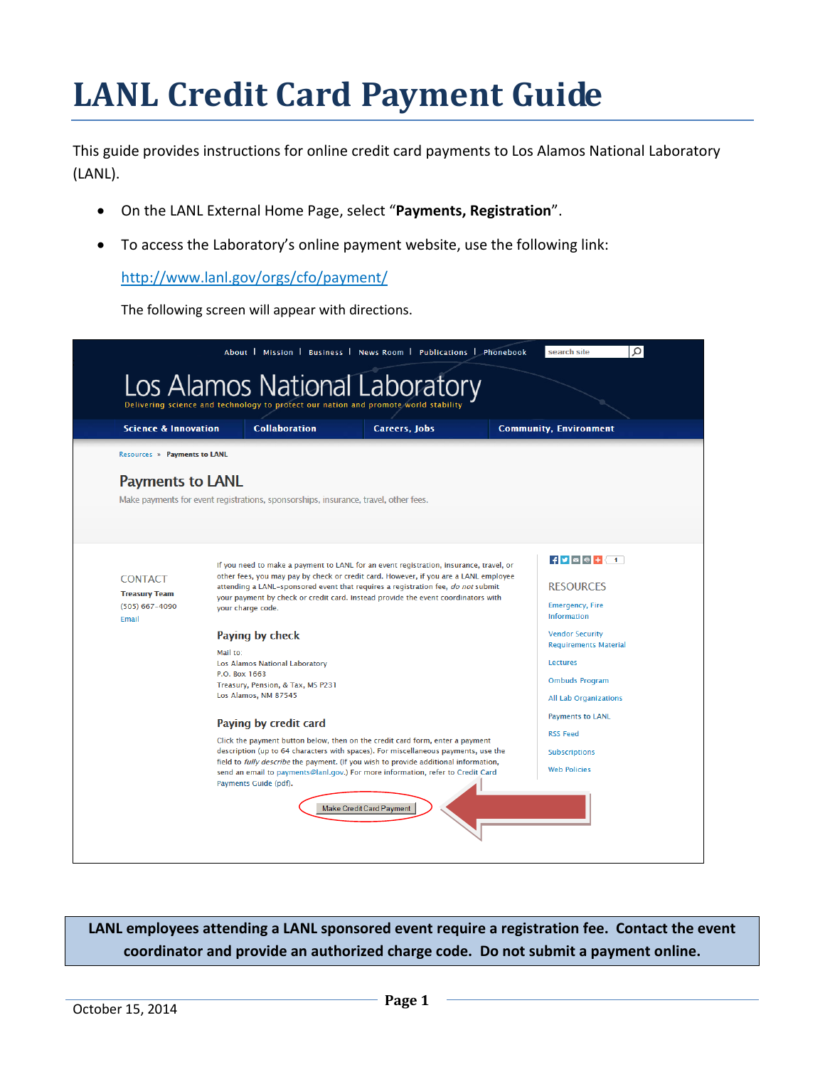# **LANL Credit Card Payment Guide**

This guide provides instructions for online credit card payments to Los Alamos National Laboratory (LANL).

- On the LANL External Home Page, select "**Payments, Registration**".
- To access the Laboratory's online payment website, use the following link:

<http://www.lanl.gov/orgs/cfo/payment/>

The following screen will appear with directions.



**LANL employees attending a LANL sponsored event require a registration fee. Contact the event coordinator and provide an authorized charge code. Do not submit a payment online.**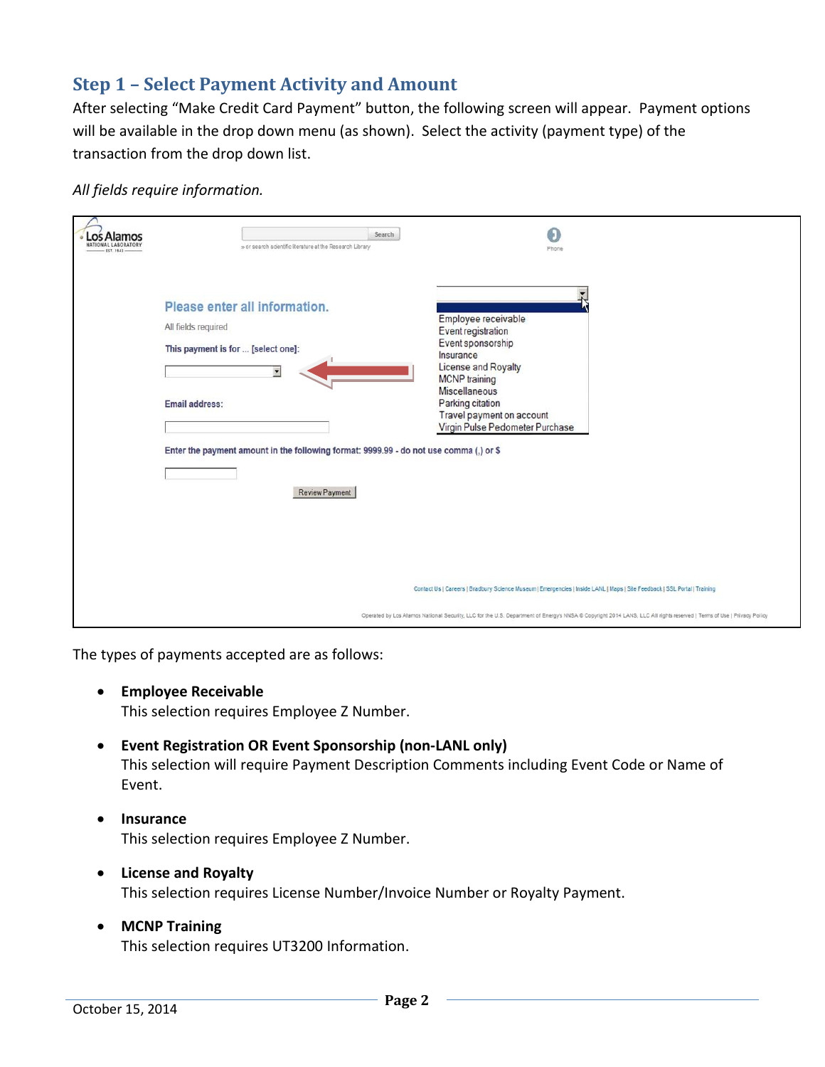## **Step 1 – Select Payment Activity and Amount**

After selecting "Make Credit Card Payment" button, the following screen will appear. Payment options will be available in the drop down menu (as shown). Select the activity (payment type) of the transaction from the drop down list.

#### *All fields require information.*

| os Alamos<br><b>NATIONAL LARORATORY</b><br>EST. 1943 | » or search scientific literature at the Research Library                                                                                                                                                                | Search<br>Phone                                                                                                                                                                                                                        |
|------------------------------------------------------|--------------------------------------------------------------------------------------------------------------------------------------------------------------------------------------------------------------------------|----------------------------------------------------------------------------------------------------------------------------------------------------------------------------------------------------------------------------------------|
|                                                      | Please enter all information.<br>All fields required<br>This payment is for  [select one]:<br>Email address:<br>Enter the payment amount in the following format: 9999.99 - do not use comma (,) or \$<br>Review Payment | Employee receivable<br>Event registration<br>Event sponsorship<br>Insurance<br>License and Royalty<br><b>MCNP</b> training<br><b>Miscellaneous</b><br>Parking citation<br>Travel payment on account<br>Virgin Pulse Pedometer Purchase |
|                                                      |                                                                                                                                                                                                                          | Contact Us   Careers   Bradbury Science Museum   Emergencies   Inside LANL   Maps   Site Feedback   SSL Portal   Training                                                                                                              |
|                                                      |                                                                                                                                                                                                                          | Operated by Los Alamos National Security, LLC for the U.S. Department of Energy's NNSA ® Copyright 2014 LANS, LLC All rights reserved   Terms of Use   Privacy Policy                                                                  |

The types of payments accepted are as follows:

• **Employee Receivable**

This selection requires Employee Z Number.

• **Event Registration OR Event Sponsorship (non-LANL only)**

This selection will require Payment Description Comments including Event Code or Name of Event.

- **Insurance** This selection requires Employee Z Number.
- **License and Royalty** This selection requires License Number/Invoice Number or Royalty Payment.
- **MCNP Training** This selection requires UT3200 Information.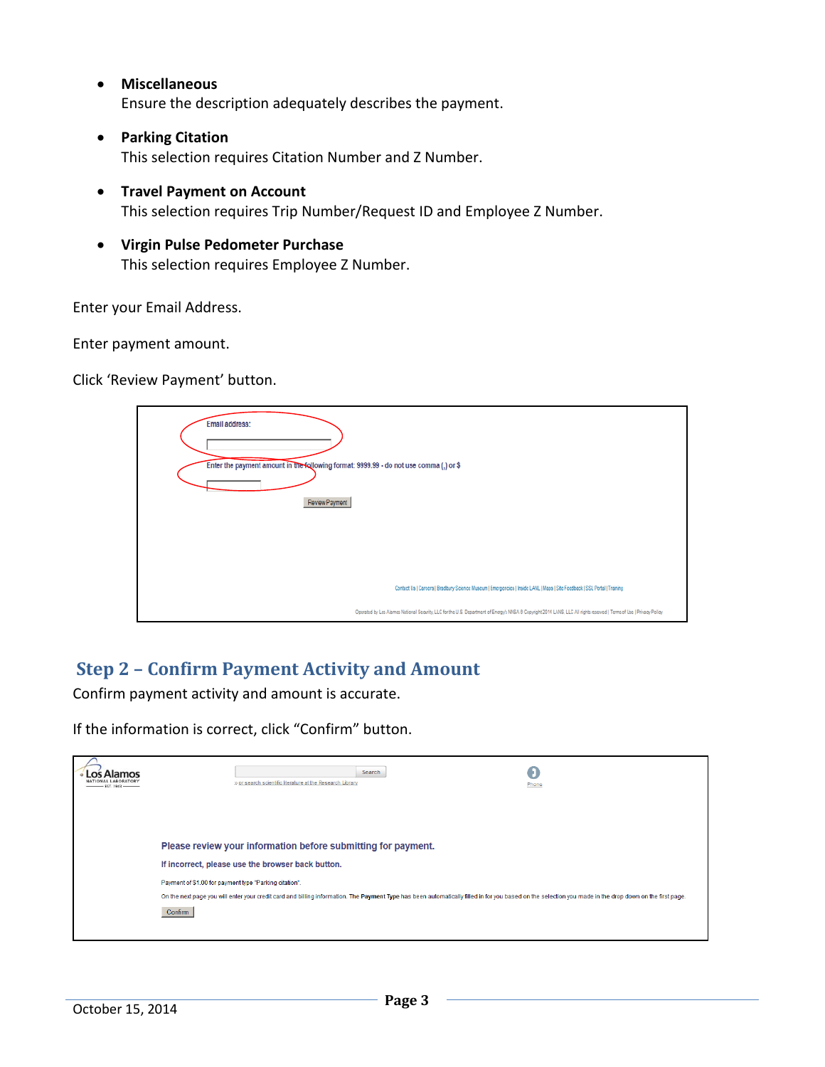• **Miscellaneous**

Ensure the description adequately describes the payment.

- **Parking Citation** This selection requires Citation Number and Z Number.
- **Travel Payment on Account** This selection requires Trip Number/Request ID and Employee Z Number.
- **Virgin Pulse Pedometer Purchase** This selection requires Employee Z Number.

Enter your Email Address.

Enter payment amount.

Click 'Review Payment' button.

| Email address:<br>Enter the payment amount in the following format: 9999.99 - do not use comma (,) or \$<br>Review Payment |                                                                                                                                                                       |
|----------------------------------------------------------------------------------------------------------------------------|-----------------------------------------------------------------------------------------------------------------------------------------------------------------------|
|                                                                                                                            | Contact Us   Carcers   Bradbury Science Museum   Emergencies   Inside LANL   Maps   Site Feedback   SSL Portal   Training                                             |
|                                                                                                                            | Operated by Les Alamos National Security, LLC for the U.S. Department of Energy's NNSA ® Copyright 2014 LANS, LLC All rights reserved   Terms of Use   Privacy Policy |

## **Step 2 – Confirm Payment Activity and Amount**

Confirm payment activity and amount is accurate.

If the information is correct, click "Confirm" button.

| Δlamos<br>$-$ EST. 1943 $-$ | Search<br>» or search scientific literature at the Research Library                                                                                                                                                | Phone |
|-----------------------------|--------------------------------------------------------------------------------------------------------------------------------------------------------------------------------------------------------------------|-------|
|                             | Please review your information before submitting for payment.<br>If incorrect, please use the browser back button.<br>Payment of \$1.00 for payment type "Parking citation".                                       |       |
|                             | On the next page you will enter your credit card and billing information. The Payment Type has been automatically filled in for you based on the selection you made in the drop down on the first page.<br>Confirm |       |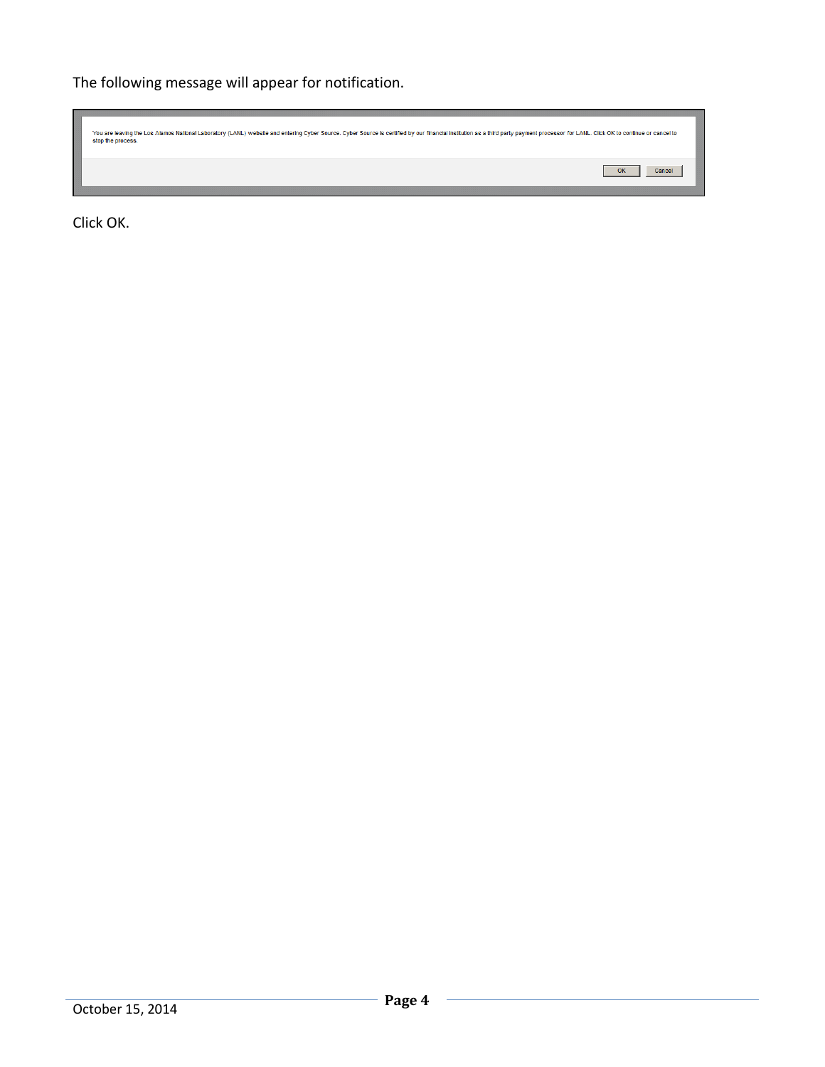The following message will appear for notification.

| You are leaving the Los Alamos National Laboratory (LANL) website and entering Cyber Source. Cyber Source is certified by our financial institution as a third party payment processor for LANL. Click OK to continue or cance<br>stop the process. |              |
|-----------------------------------------------------------------------------------------------------------------------------------------------------------------------------------------------------------------------------------------------------|--------------|
|                                                                                                                                                                                                                                                     | OK<br>Cancel |

Click OK.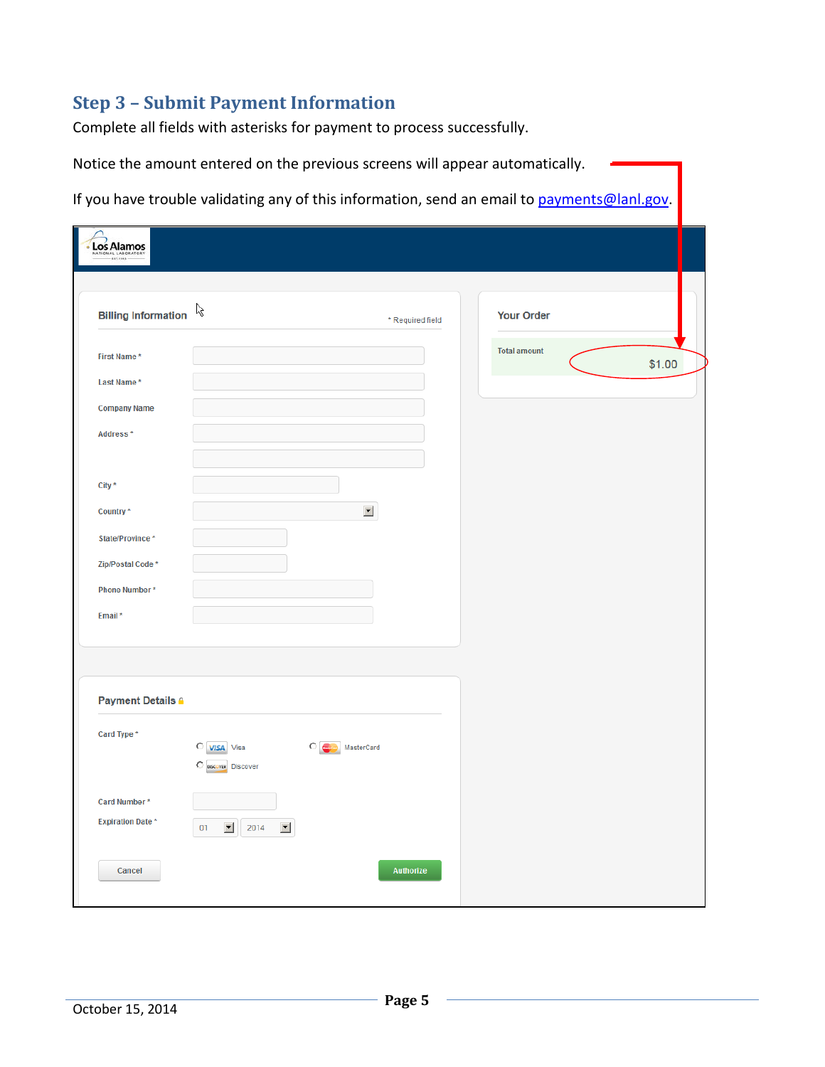# **Step 3 – Submit Payment Information**

Complete all fields with asterisks for payment to process successfully.

| Los Alamos                              |                                    |                      |                     |        |
|-----------------------------------------|------------------------------------|----------------------|---------------------|--------|
| <b>Billing Information</b>              | ß                                  | * Required field     | <b>Your Order</b>   |        |
| First Name*                             |                                    |                      | <b>Total amount</b> | \$1.00 |
| Last Name*                              |                                    |                      |                     |        |
| <b>Company Name</b>                     |                                    |                      |                     |        |
| Address*                                |                                    |                      |                     |        |
|                                         |                                    |                      |                     |        |
| City *                                  |                                    |                      |                     |        |
| Country*                                |                                    | $\blacktriangledown$ |                     |        |
| State/Province*                         |                                    |                      |                     |        |
| Zip/Postal Code *                       |                                    |                      |                     |        |
| Phone Number*                           |                                    |                      |                     |        |
| Email*                                  |                                    |                      |                     |        |
|                                         |                                    |                      |                     |        |
|                                         |                                    |                      |                     |        |
| <b>Payment Details A</b>                |                                    |                      |                     |        |
| Card Type *                             |                                    |                      |                     |        |
|                                         | C VISA Visa<br>O DISCOVER DISCOVER | ் ∈<br>MasterCard    |                     |        |
|                                         |                                    |                      |                     |        |
| Card Number*<br><b>Expiration Date*</b> |                                    |                      |                     |        |
|                                         | 회<br>회<br>01<br>2014               |                      |                     |        |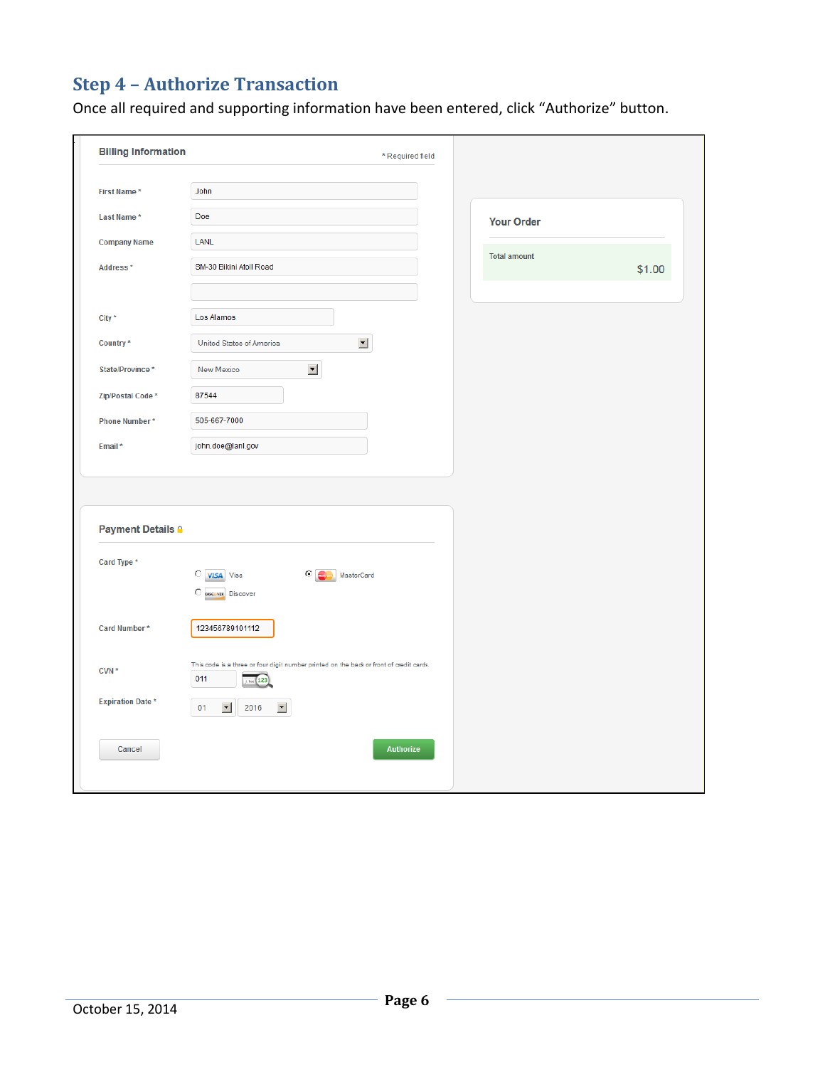# **Step 4 – Authorize Transaction**

Once all required and supporting information have been entered, click "Authorize" button.

| <b>Billing Information</b> | * Required field                                                                        |                     |        |
|----------------------------|-----------------------------------------------------------------------------------------|---------------------|--------|
| First Name*                | John                                                                                    |                     |        |
| Last Name*                 | Doe                                                                                     | <b>Your Order</b>   |        |
| <b>Company Name</b>        | LANL                                                                                    |                     |        |
| Address*                   | SM-30 Bikini Atoll Road                                                                 | <b>Total amount</b> | \$1.00 |
|                            |                                                                                         |                     |        |
| City *                     | Los Alamos                                                                              |                     |        |
| Country*                   | $\blacktriangledown$<br>United States of America                                        |                     |        |
| State/Province*            | $\overline{\phantom{a}}$<br>New Mexico                                                  |                     |        |
| Zip/Postal Code*           | 87544                                                                                   |                     |        |
| Phone Number*              | 505-667-7000                                                                            |                     |        |
| Email*                     | john.doe@lanl.gov                                                                       |                     |        |
|                            |                                                                                         |                     |        |
|                            |                                                                                         |                     |        |
| <b>Payment Details A</b>   |                                                                                         |                     |        |
| Card Type *                |                                                                                         |                     |        |
|                            | $\bigcirc$ <i>VISA</i> Visa<br>C MasterCard<br>$\bigcirc$ $_{\text{Discover}}$ Discover |                     |        |
|                            |                                                                                         |                     |        |
| Card Number*               | 123456789101112                                                                         |                     |        |
| CVN*                       | This code is a three or four digit number printed on the back or front of credit cards. |                     |        |
|                            | 011<br><b>123</b>                                                                       |                     |        |
| <b>Expiration Date*</b>    | $\blacktriangledown$<br>01<br>2016<br>회                                                 |                     |        |
| Cancel                     | <b>Authorize</b>                                                                        |                     |        |
|                            |                                                                                         |                     |        |
|                            |                                                                                         |                     |        |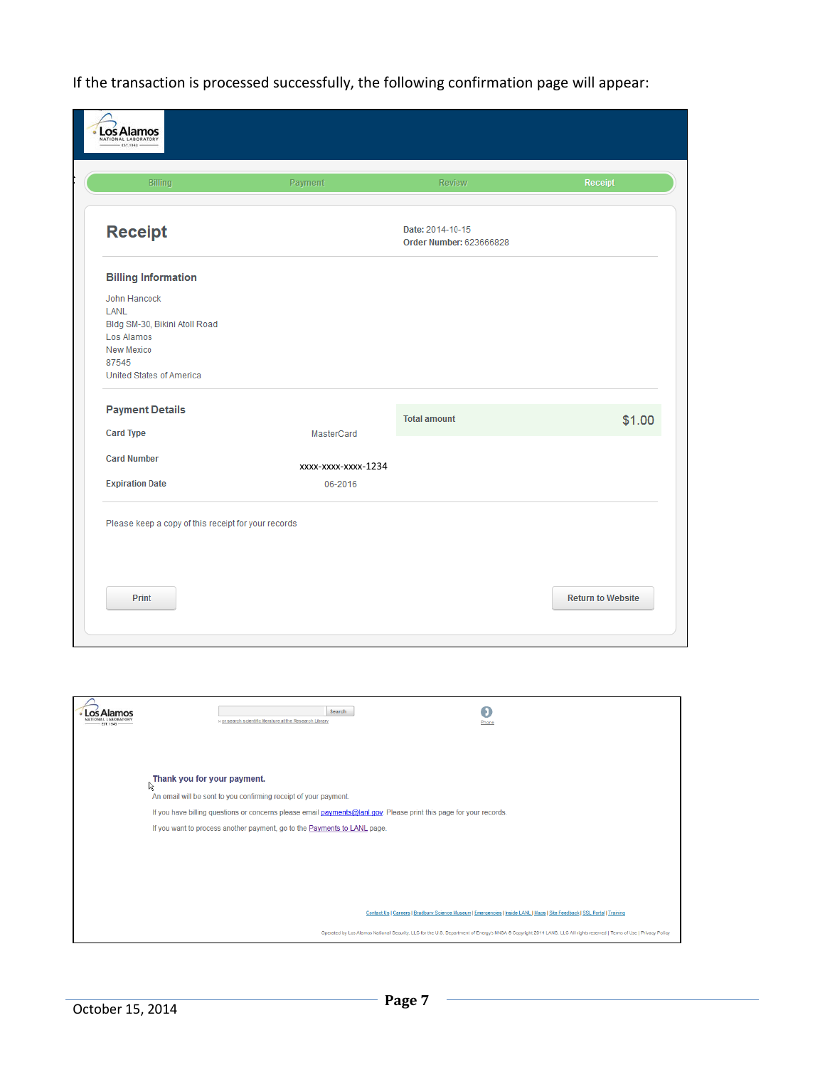If the transaction is processed successfully, the following confirmation page will appear:

| Billing                                                                                                                | Payment                        | Review                                      | Receipt |
|------------------------------------------------------------------------------------------------------------------------|--------------------------------|---------------------------------------------|---------|
| <b>Receipt</b>                                                                                                         |                                | Date: 2014-10-15<br>Order Number: 623666828 |         |
| <b>Billing Information</b>                                                                                             |                                |                                             |         |
| John Hancock<br>LANL<br>Bldg SM-30, Bikini Atoll Road<br>Los Alamos<br>New Mexico<br>87545<br>United States of America |                                |                                             |         |
| <b>Payment Details</b>                                                                                                 |                                | <b>Total amount</b>                         | \$1.00  |
| <b>Card Type</b>                                                                                                       | MasterCard                     |                                             |         |
| <b>Card Number</b><br><b>Expiration Date</b>                                                                           | xxxx-xxxx-xxxx-1234<br>06-2016 |                                             |         |
| Please keep a copy of this receipt for your records                                                                    |                                |                                             |         |

| Search<br>» or search scientific literature at the Research Library<br>Phone                                                                                          |
|-----------------------------------------------------------------------------------------------------------------------------------------------------------------------|
|                                                                                                                                                                       |
| Thank you for your payment.<br>r,                                                                                                                                     |
| An email will be sent to you confirming receipt of your payment.                                                                                                      |
| If you have billing questions or concerns please email payments@lanl.gov. Please print this page for your records.                                                    |
| If you want to process another payment, go to the Payments to LANL page.                                                                                              |
|                                                                                                                                                                       |
|                                                                                                                                                                       |
|                                                                                                                                                                       |
|                                                                                                                                                                       |
|                                                                                                                                                                       |
| Contact Us   Careers   Bradbury Science Museum   Emergencies   Inside LANL   Maps   Site Feedback   SSL Portal   Training                                             |
| Operated by Los Alamos National Security, LLC for the U.S. Department of Energy's NNSA @ Copyright 2014 LANS, LLC All rights reserved   Terms of Use   Privacy Policy |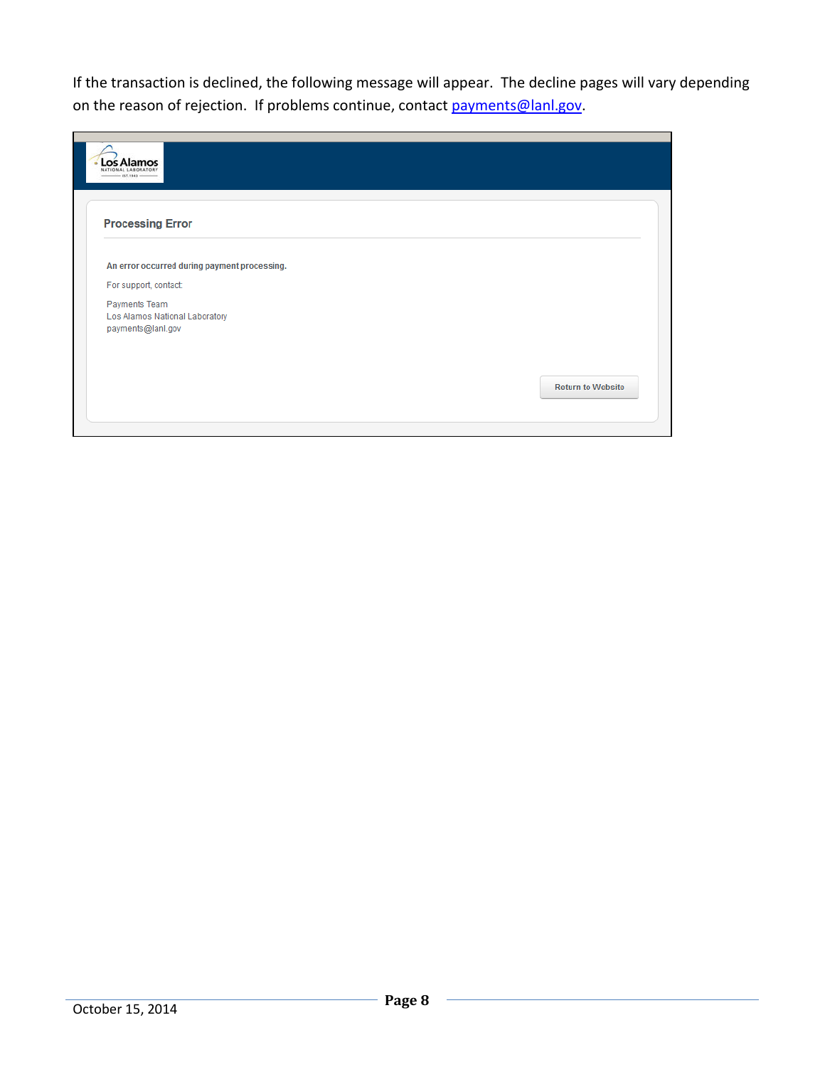If the transaction is declined, the following message will appear. The decline pages will vary depending on the reason of rejection. If problems continue, contact [payments@lanl.gov.](mailto:payments@lanl.gov)

| <b>Processing Error</b>                                              |  |
|----------------------------------------------------------------------|--|
|                                                                      |  |
| An error occurred during payment processing.                         |  |
| For support, contact:                                                |  |
| Payments Team<br>Los Alamos National Laboratory<br>payments@lanl.gov |  |
|                                                                      |  |